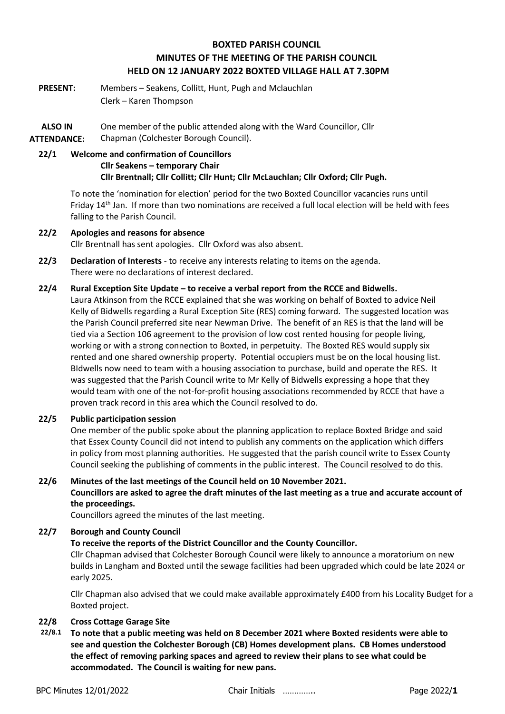# **BOXTED PARISH COUNCIL MINUTES OF THE MEETING OF THE PARISH COUNCIL HELD ON 12 JANUARY 2022 BOXTED VILLAGE HALL AT 7.30PM**

**PRESENT:** Members – Seakens, Collitt, Hunt, Pugh and Mclauchlan Clerk – Karen Thompson

**ALSO IN ATTENDANCE:** One member of the public attended along with the Ward Councillor, Cllr Chapman (Colchester Borough Council).

# **22/1 Welcome and confirmation of Councillors Cllr Seakens – temporary Chair Cllr Brentnall; Cllr Collitt; Cllr Hunt; Cllr McLauchlan; Cllr Oxford; Cllr Pugh.**

To note the 'nomination for election' period for the two Boxted Councillor vacancies runs until Friday 14<sup>th</sup> Jan. If more than two nominations are received a full local election will be held with fees falling to the Parish Council.

### **22/2 Apologies and reasons for absence** Cllr Brentnall has sent apologies. Cllr Oxford was also absent.

- **22/3 Declaration of Interests** to receive any interests relating to items on the agenda. There were no declarations of interest declared.
- **22/4 Rural Exception Site Update – to receive a verbal report from the RCCE and Bidwells.** Laura Atkinson from the RCCE explained that she was working on behalf of Boxted to advice Neil Kelly of Bidwells regarding a Rural Exception Site (RES) coming forward. The suggested location was the Parish Council preferred site near Newman Drive. The benefit of an RES is that the land will be tied via a Section 106 agreement to the provision of low cost rented housing for people living, working or with a strong connection to Boxted, in perpetuity. The Boxted RES would supply six rented and one shared ownership property. Potential occupiers must be on the local housing list. BIdwells now need to team with a housing association to purchase, build and operate the RES. It was suggested that the Parish Council write to Mr Kelly of Bidwells expressing a hope that they would team with one of the not-for-profit housing associations recommended by RCCE that have a proven track record in this area which the Council resolved to do.

## **22/5 Public participation session**

One member of the public spoke about the planning application to replace Boxted Bridge and said that Essex County Council did not intend to publish any comments on the application which differs in policy from most planning authorities. He suggested that the parish council write to Essex County Council seeking the publishing of comments in the public interest. The Council resolved to do this.

# **22/6 Minutes of the last meetings of the Council held on 10 November 2021. Councillors are asked to agree the draft minutes of the last meeting as a true and accurate account of the proceedings.**

Councillors agreed the minutes of the last meeting.

### **22/7 Borough and County Council**

### **To receive the reports of the District Councillor and the County Councillor.**

Cllr Chapman advised that Colchester Borough Council were likely to announce a moratorium on new builds in Langham and Boxted until the sewage facilities had been upgraded which could be late 2024 or early 2025.

Cllr Chapman also advised that we could make available approximately £400 from his Locality Budget for a Boxted project.

### **22/8 Cross Cottage Garage Site**

**22/8.1 To note that a public meeting was held on 8 December 2021 where Boxted residents were able to see and question the Colchester Borough (CB) Homes development plans. CB Homes understood the effect of removing parking spaces and agreed to review their plans to see what could be accommodated. The Council is waiting for new pans.**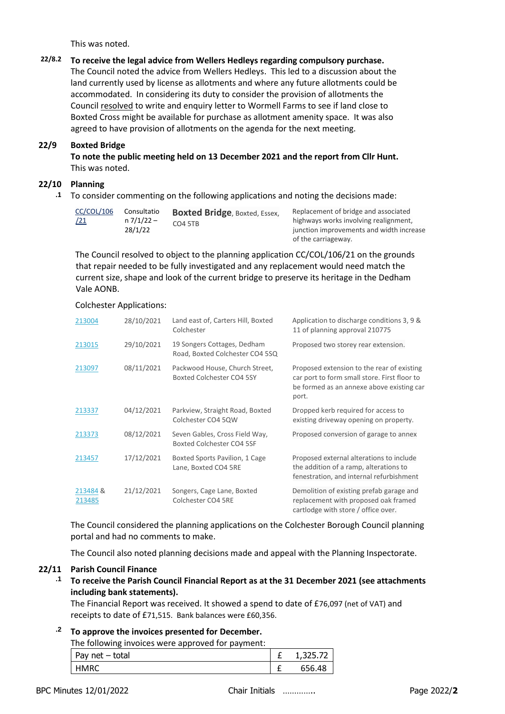This was noted.

### **22/8.2 To receive the legal advice from Wellers Hedleys regarding compulsory purchase.** The Council noted the advice from Wellers Hedleys. This led to a discussion about the land currently used by license as allotments and where any future allotments could be accommodated. In considering its duty to consider the provision of allotments the Council resolved to write and enquiry letter to Wormell Farms to see if land close to Boxted Cross might be available for purchase as allotment amenity space. It was also agreed to have provision of allotments on the agenda for the next meeting.

#### **22/9 Boxted Bridge**

**To note the public meeting held on 13 December 2021 and the report from Cllr Hunt.** This was noted.

### **22/10 Planning**

**.1** To consider commenting on the following applications and noting the decisions made:

| <b>CC/COL/106</b><br>/21 | Consultatio<br>n 7/1/22 –<br>28/1/22 | <b>Boxted Bridge, Boxted, Essex,</b> | Replacement of bridge and associated                                              |
|--------------------------|--------------------------------------|--------------------------------------|-----------------------------------------------------------------------------------|
|                          |                                      | CO4 5TB                              | highways works involving realignment,<br>junction improvements and width increase |
|                          |                                      |                                      | of the carriageway.                                                               |

The Council resolved to object to the planning application CC/COL/106/21 on the grounds that repair needed to be fully investigated and any replacement would need match the current size, shape and look of the current bridge to preserve its heritage in the Dedham Vale AONB.

#### Colchester Applications:

| 213004             | 28/10/2021 | Land east of, Carters Hill, Boxted<br>Colchester               | Application to discharge conditions 3, 9 &<br>11 of planning approval 210775                                                                     |
|--------------------|------------|----------------------------------------------------------------|--------------------------------------------------------------------------------------------------------------------------------------------------|
| 213015             | 29/10/2021 | 19 Songers Cottages, Dedham<br>Road, Boxted Colchester CO4 5SQ | Proposed two storey rear extension.                                                                                                              |
| 213097             | 08/11/2021 | Packwood House, Church Street,<br>Boxted Colchester CO4 5SY    | Proposed extension to the rear of existing<br>car port to form small store. First floor to<br>be formed as an annexe above existing car<br>port. |
| 213337             | 04/12/2021 | Parkview, Straight Road, Boxted<br>Colchester CO4 5QW          | Dropped kerb required for access to<br>existing driveway opening on property.                                                                    |
| 213373             | 08/12/2021 | Seven Gables, Cross Field Way,<br>Boxted Colchester CO4 5SF    | Proposed conversion of garage to annex                                                                                                           |
| 213457             | 17/12/2021 | Boxted Sports Pavilion, 1 Cage<br>Lane, Boxted CO4 5RE         | Proposed external alterations to include<br>the addition of a ramp, alterations to<br>fenestration, and internal refurbishment                   |
| 213484 &<br>213485 | 21/12/2021 | Songers, Cage Lane, Boxted<br>Colchester CO4 5RE               | Demolition of existing prefab garage and<br>replacement with proposed oak framed<br>cartlodge with store / office over.                          |

The Council considered the planning applications on the Colchester Borough Council planning portal and had no comments to make.

The Council also noted planning decisions made and appeal with the Planning Inspectorate.

#### **22/11 Parish Council Finance**

**.1 To receive the Parish Council Financial Report as at the 31 December 2021 (see attachments including bank statements).**

The Financial Report was received. It showed a spend to date of £76,097 (net of VAT) and receipts to date of £71,515. Bank balances were £60,356.

### **.2 To approve the invoices presented for December.**

The following invoices were approved for payment:

| Pay $net - total$ | 1,325.7 |
|-------------------|---------|
| <b>HMRC</b>       | 656.48  |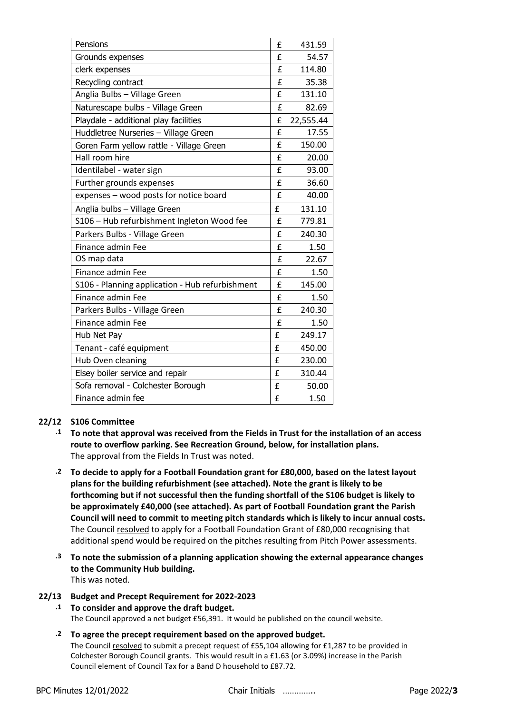| Pensions                                        | £ | 431.59    |
|-------------------------------------------------|---|-----------|
| Grounds expenses                                | f | 54.57     |
| clerk expenses                                  | £ | 114.80    |
| Recycling contract                              | £ | 35.38     |
| Anglia Bulbs - Village Green                    | £ | 131.10    |
| Naturescape bulbs - Village Green               | £ | 82.69     |
| Playdale - additional play facilities           | £ | 22,555.44 |
| Huddletree Nurseries - Village Green            | £ | 17.55     |
| Goren Farm yellow rattle - Village Green        | f | 150.00    |
| Hall room hire                                  | £ | 20.00     |
| Identilabel - water sign                        | £ | 93.00     |
| Further grounds expenses                        | £ | 36.60     |
| expenses - wood posts for notice board          | £ | 40.00     |
| Anglia bulbs - Village Green                    | £ | 131.10    |
| S106 - Hub refurbishment Ingleton Wood fee      | f | 779.81    |
| Parkers Bulbs - Village Green                   | £ | 240.30    |
| Finance admin Fee                               | £ | 1.50      |
| OS map data                                     | £ | 22.67     |
| Finance admin Fee                               | £ | 1.50      |
| S106 - Planning application - Hub refurbishment | £ | 145.00    |
| Finance admin Fee                               | f | 1.50      |
| Parkers Bulbs - Village Green                   | f | 240.30    |
| Finance admin Fee                               | £ | 1.50      |
| Hub Net Pay                                     | £ | 249.17    |
| Tenant - café equipment                         | £ | 450.00    |
| Hub Oven cleaning                               | £ | 230.00    |
| Elsey boiler service and repair                 | £ | 310.44    |
| Sofa removal - Colchester Borough               | £ | 50.00     |
| Finance admin fee                               | £ | 1.50      |

### **22/12 S106 Committee**

- **.1 To note that approval was received from the Fields in Trust for the installation of an access route to overflow parking. See Recreation Ground, below, for installation plans.**  The approval from the Fields In Trust was noted.
- **.2 To decide to apply for a Football Foundation grant for £80,000, based on the latest layout plans for the building refurbishment (see attached). Note the grant is likely to be forthcoming but if not successful then the funding shortfall of the S106 budget is likely to be approximately £40,000 (see attached). As part of Football Foundation grant the Parish Council will need to commit to meeting pitch standards which is likely to incur annual costs.** The Council resolved to apply for a Football Foundation Grant of £80,000 recognising that additional spend would be required on the pitches resulting from Pitch Power assessments.
- **.3 To note the submission of a planning application showing the external appearance changes to the Community Hub building.** This was noted.

### **22/13 Budget and Precept Requirement for 2022-2023**

## **.1 To consider and approve the draft budget.**

The Council approved a net budget £56,391. It would be published on the council website.

**.2 To agree the precept requirement based on the approved budget.** The Council resolved to submit a precept request of £55,104 allowing for £1,287 to be provided in Colchester Borough Council grants. This would result in a £1.63 (or 3.09%) increase in the Parish Council element of Council Tax for a Band D household to £87.72.